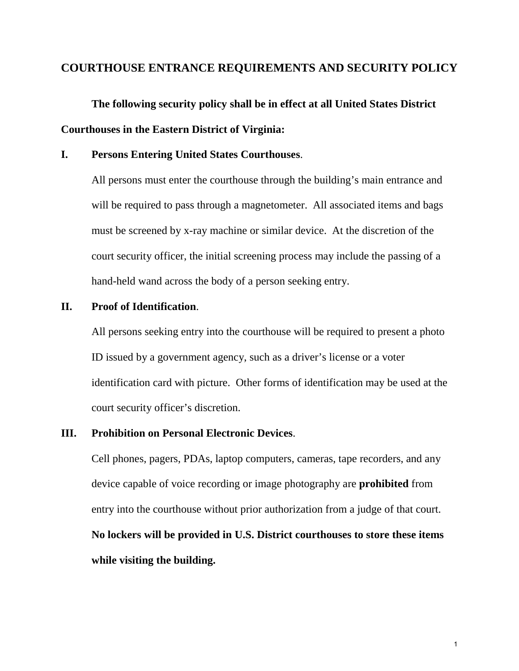# **COURTHOUSE ENTRANCE REQUIREMENTS AND SECURITY POLICY**

 **The following security policy shall be in effect at all United States District Courthouses in the Eastern District of Virginia:** 

# **I. Persons Entering United States Courthouses**.

 All persons must enter the courthouse through the building's main entrance and will be required to pass through a magnetometer. All associated items and bags must be screened by x-ray machine or similar device. At the discretion of the court security officer, the initial screening process may include the passing of a hand-held wand across the body of a person seeking entry.

#### **II. Proof of Identification**.

 All persons seeking entry into the courthouse will be required to present a photo ID issued by a government agency, such as a driver's license or a voter identification card with picture. Other forms of identification may be used at the court security officer's discretion.

#### **III. Prohibition on Personal Electronic Devices**.

 Cell phones, pagers, PDAs, laptop computers, cameras, tape recorders, and any device capable of voice recording or image photography are **prohibited** from entry into the courthouse without prior authorization from a judge of that court. **No lockers will be provided in U.S. District courthouses to store these items while visiting the building.**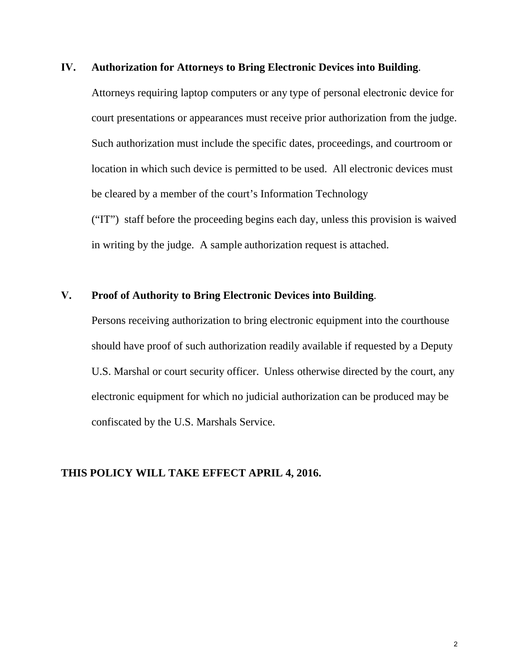#### **IV. Authorization for Attorneys to Bring Electronic Devices into Building**.

Attorneys requiring laptop computers or any type of personal electronic device for court presentations or appearances must receive prior authorization from the judge. Such authorization must include the specific dates, proceedings, and courtroom or location in which such device is permitted to be used. All electronic devices must be cleared by a member of the court's Information Technology ("IT") staff before the proceeding begins each day, unless this provision is waived

in writing by the judge. A sample authorization request is attached.

## **V. Proof of Authority to Bring Electronic Devices into Building**.

Persons receiving authorization to bring electronic equipment into the courthouse should have proof of such authorization readily available if requested by a Deputy U.S. Marshal or court security officer. Unless otherwise directed by the court, any electronic equipment for which no judicial authorization can be produced may be confiscated by the U.S. Marshals Service.

#### **THIS POLICY WILL TAKE EFFECT APRIL 4, 2016.**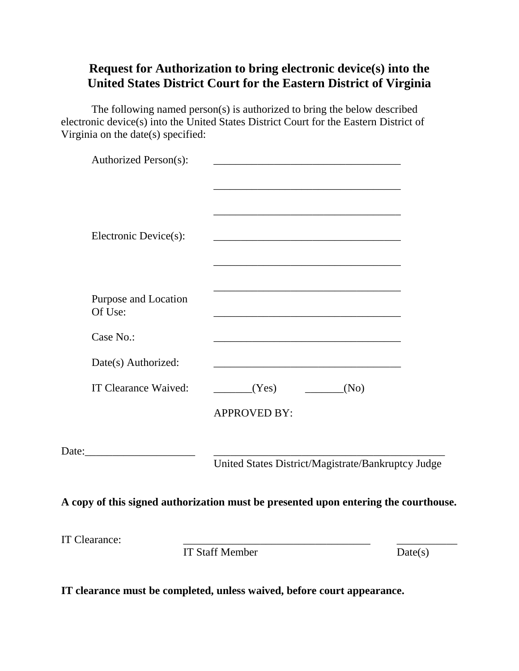# **Request for Authorization to bring electronic device(s) into the United States District Court for the Eastern District of Virginia**

The following named person(s) is authorized to bring the below described electronic device(s) into the United States District Court for the Eastern District of Virginia on the date(s) specified:

|                                 | <b>IT Staff Member</b>                                                                                                                            | Date(s) |
|---------------------------------|---------------------------------------------------------------------------------------------------------------------------------------------------|---------|
| <b>IT Clearance:</b>            |                                                                                                                                                   |         |
|                                 | A copy of this signed authorization must be presented upon entering the courthouse.                                                               |         |
|                                 |                                                                                                                                                   |         |
|                                 | United States District/Magistrate/Bankruptcy Judge                                                                                                |         |
|                                 |                                                                                                                                                   |         |
|                                 | <b>APPROVED BY:</b>                                                                                                                               |         |
| IT Clearance Waived:            | (Yes)<br>(No)                                                                                                                                     |         |
| Date(s) Authorized:             |                                                                                                                                                   |         |
| Case No.:                       | <u> 1989 - Johann Stoff, amerikansk politiker (d. 1989)</u>                                                                                       |         |
| Purpose and Location<br>Of Use: | the control of the control of the control of the control of the control of the control of                                                         |         |
|                                 | the control of the control of the control of the control of the control of the control of<br><u> 1980 - Johann Barn, fransk politik (d. 1980)</u> |         |
| Electronic Device(s):           | <u> 1989 - Johann Stein, mars an deutscher Stein und der Stein und der Stein und der Stein und der Stein und der</u>                              |         |
|                                 | <u> 2002 - Johann John Stone, Amerikaansk politiker (d. 1888)</u><br><u> 1980 - Johann John Stone, mars eta biztanleria (h. 1980).</u>            |         |
|                                 | the control of the control of the control of the control of the control of                                                                        |         |
| Authorized Person(s):           |                                                                                                                                                   |         |

**IT clearance must be completed, unless waived, before court appearance.**